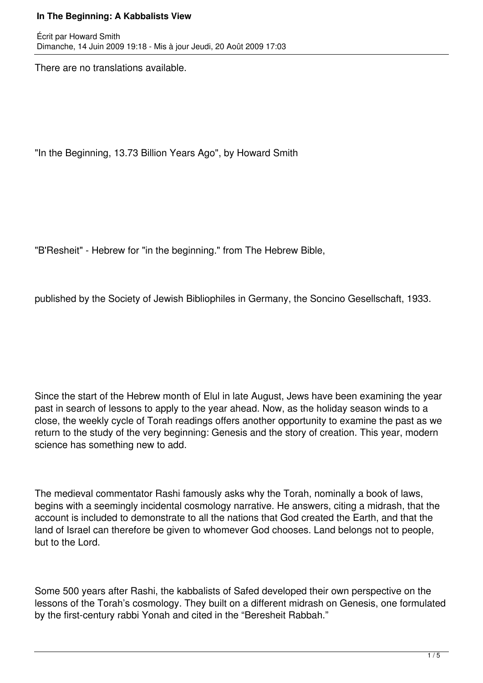There are no translations available.

"In the Beginning, 13.73 Billion Years Ago", by Howard Smith

"B'Resheit" - Hebrew for "in the beginning." from The Hebrew Bible,

published by the Society of Jewish Bibliophiles in Germany, the Soncino Gesellschaft, 1933.

Since the start of the Hebrew month of Elul in late August, Jews have been examining the year past in search of lessons to apply to the year ahead. Now, as the holiday season winds to a close, the weekly cycle of Torah readings offers another opportunity to examine the past as we return to the study of the very beginning: Genesis and the story of creation. This year, modern science has something new to add.

The medieval commentator Rashi famously asks why the Torah, nominally a book of laws, begins with a seemingly incidental cosmology narrative. He answers, citing a midrash, that the account is included to demonstrate to all the nations that God created the Earth, and that the land of Israel can therefore be given to whomever God chooses. Land belongs not to people, but to the Lord.

Some 500 years after Rashi, the kabbalists of Safed developed their own perspective on the lessons of the Torah's cosmology. They built on a different midrash on Genesis, one formulated by the first-century rabbi Yonah and cited in the "Beresheit Rabbah."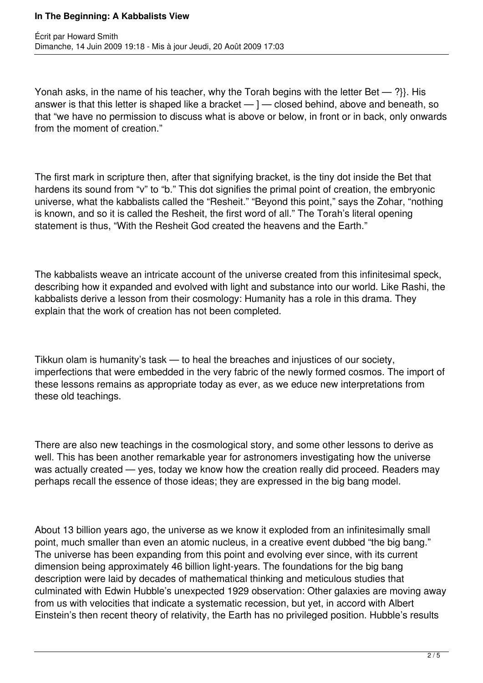Yonah asks, in the name of his teacher, why the Torah begins with the letter Bet — ?}}. His answer is that this letter is shaped like a bracket — ] — closed behind, above and beneath, so that "we have no permission to discuss what is above or below, in front or in back, only onwards from the moment of creation."

The first mark in scripture then, after that signifying bracket, is the tiny dot inside the Bet that hardens its sound from "v" to "b." This dot signifies the primal point of creation, the embryonic universe, what the kabbalists called the "Resheit." "Beyond this point," says the Zohar, "nothing is known, and so it is called the Resheit, the first word of all." The Torah's literal opening statement is thus, "With the Resheit God created the heavens and the Earth."

The kabbalists weave an intricate account of the universe created from this infinitesimal speck, describing how it expanded and evolved with light and substance into our world. Like Rashi, the kabbalists derive a lesson from their cosmology: Humanity has a role in this drama. They explain that the work of creation has not been completed.

Tikkun olam is humanity's task — to heal the breaches and injustices of our society, imperfections that were embedded in the very fabric of the newly formed cosmos. The import of these lessons remains as appropriate today as ever, as we educe new interpretations from these old teachings.

There are also new teachings in the cosmological story, and some other lessons to derive as well. This has been another remarkable year for astronomers investigating how the universe was actually created — yes, today we know how the creation really did proceed. Readers may perhaps recall the essence of those ideas; they are expressed in the big bang model.

About 13 billion years ago, the universe as we know it exploded from an infinitesimally small point, much smaller than even an atomic nucleus, in a creative event dubbed "the big bang." The universe has been expanding from this point and evolving ever since, with its current dimension being approximately 46 billion light-years. The foundations for the big bang description were laid by decades of mathematical thinking and meticulous studies that culminated with Edwin Hubble's unexpected 1929 observation: Other galaxies are moving away from us with velocities that indicate a systematic recession, but yet, in accord with Albert Einstein's then recent theory of relativity, the Earth has no privileged position. Hubble's results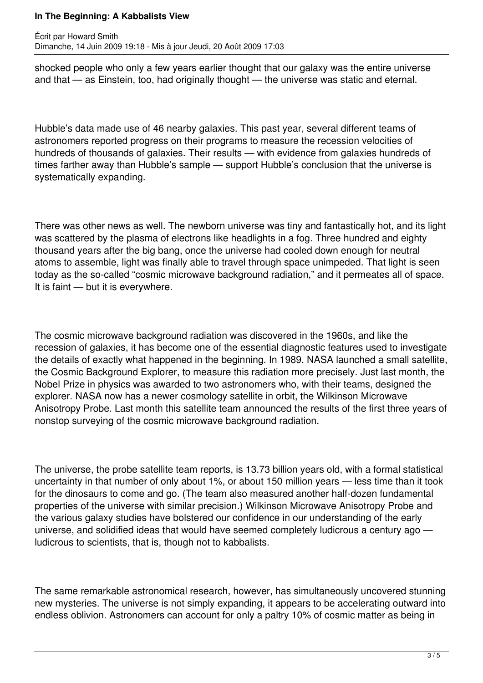shocked people who only a few years earlier thought that our galaxy was the entire universe and that — as Einstein, too, had originally thought — the universe was static and eternal.

Hubble's data made use of 46 nearby galaxies. This past year, several different teams of astronomers reported progress on their programs to measure the recession velocities of hundreds of thousands of galaxies. Their results — with evidence from galaxies hundreds of times farther away than Hubble's sample — support Hubble's conclusion that the universe is systematically expanding.

There was other news as well. The newborn universe was tiny and fantastically hot, and its light was scattered by the plasma of electrons like headlights in a fog. Three hundred and eighty thousand years after the big bang, once the universe had cooled down enough for neutral atoms to assemble, light was finally able to travel through space unimpeded. That light is seen today as the so-called "cosmic microwave background radiation," and it permeates all of space. It is faint — but it is everywhere.

The cosmic microwave background radiation was discovered in the 1960s, and like the recession of galaxies, it has become one of the essential diagnostic features used to investigate the details of exactly what happened in the beginning. In 1989, NASA launched a small satellite, the Cosmic Background Explorer, to measure this radiation more precisely. Just last month, the Nobel Prize in physics was awarded to two astronomers who, with their teams, designed the explorer. NASA now has a newer cosmology satellite in orbit, the Wilkinson Microwave Anisotropy Probe. Last month this satellite team announced the results of the first three years of nonstop surveying of the cosmic microwave background radiation.

The universe, the probe satellite team reports, is 13.73 billion years old, with a formal statistical uncertainty in that number of only about 1%, or about 150 million years — less time than it took for the dinosaurs to come and go. (The team also measured another half-dozen fundamental properties of the universe with similar precision.) Wilkinson Microwave Anisotropy Probe and the various galaxy studies have bolstered our confidence in our understanding of the early universe, and solidified ideas that would have seemed completely ludicrous a century ago ludicrous to scientists, that is, though not to kabbalists.

The same remarkable astronomical research, however, has simultaneously uncovered stunning new mysteries. The universe is not simply expanding, it appears to be accelerating outward into endless oblivion. Astronomers can account for only a paltry 10% of cosmic matter as being in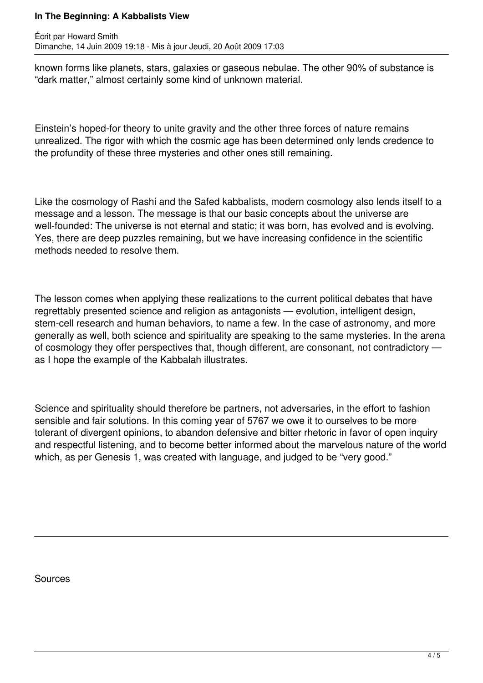known forms like planets, stars, galaxies or gaseous nebulae. The other 90% of substance is "dark matter," almost certainly some kind of unknown material.

Einstein's hoped-for theory to unite gravity and the other three forces of nature remains unrealized. The rigor with which the cosmic age has been determined only lends credence to the profundity of these three mysteries and other ones still remaining.

Like the cosmology of Rashi and the Safed kabbalists, modern cosmology also lends itself to a message and a lesson. The message is that our basic concepts about the universe are well-founded: The universe is not eternal and static; it was born, has evolved and is evolving. Yes, there are deep puzzles remaining, but we have increasing confidence in the scientific methods needed to resolve them.

The lesson comes when applying these realizations to the current political debates that have regrettably presented science and religion as antagonists — evolution, intelligent design, stem-cell research and human behaviors, to name a few. In the case of astronomy, and more generally as well, both science and spirituality are speaking to the same mysteries. In the arena of cosmology they offer perspectives that, though different, are consonant, not contradictory as I hope the example of the Kabbalah illustrates.

Science and spirituality should therefore be partners, not adversaries, in the effort to fashion sensible and fair solutions. In this coming year of 5767 we owe it to ourselves to be more tolerant of divergent opinions, to abandon defensive and bitter rhetoric in favor of open inquiry and respectful listening, and to become better informed about the marvelous nature of the world which, as per Genesis 1, was created with language, and judged to be "very good."

Sources